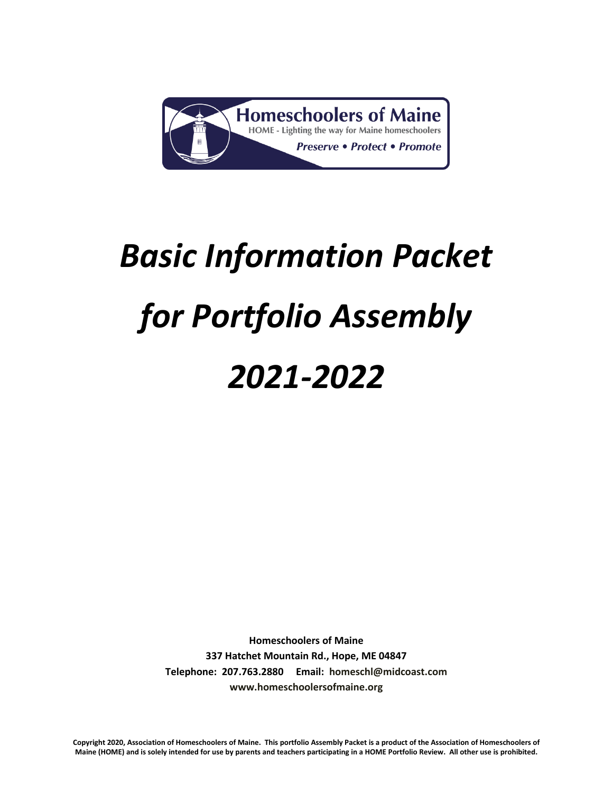

# *Basic Information Packet for Portfolio Assembly 2021-2022*

**Homeschoolers of Maine 337 Hatchet Mountain Rd., Hope, ME 04847 Telephone: 207.763.2880 Email: [homeschl@midcoast.com](mailto:homeschl@midcoast.com) [www.homeschoolersofmaine.org](http://www.homeschoolersofmaine.org/)**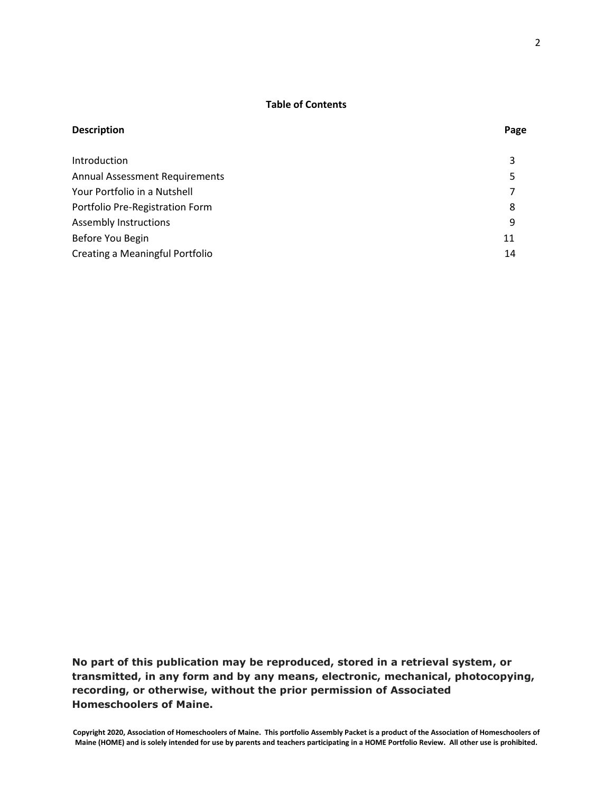# **Table of Contents**

| <b>Description</b>                    | Page |
|---------------------------------------|------|
| Introduction                          | 3    |
| <b>Annual Assessment Requirements</b> | 5    |
| Your Portfolio in a Nutshell          | 7    |
| Portfolio Pre-Registration Form       | 8    |
| <b>Assembly Instructions</b>          | 9    |
| Before You Begin                      | 11   |
| Creating a Meaningful Portfolio       | 14   |

**No part of this publication may be reproduced, stored in a retrieval system, or transmitted, in any form and by any means, electronic, mechanical, photocopying, recording, or otherwise, without the prior permission of Associated Homeschoolers of Maine.**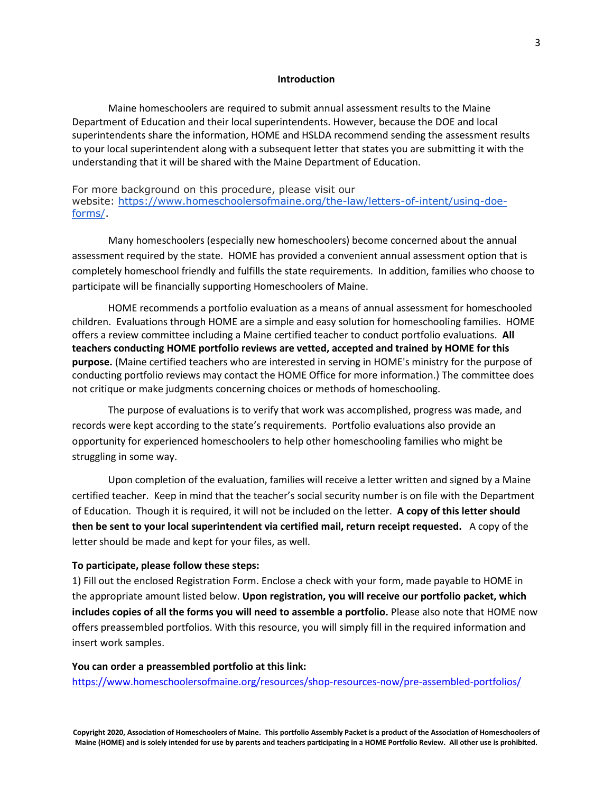#### **Introduction**

Maine homeschoolers are required to submit annual assessment results to the Maine Department of Education and their local superintendents. However, because the DOE and local superintendents share the information, HOME and HSLDA recommend sending the assessment results to your local superintendent along with a subsequent letter that states you are submitting it with the understanding that it will be shared with the Maine Department of Education.

# For more background on this procedure, please visit our website: [https://www.homeschoolersofmaine.org/the-law/letters-of-intent/using-doe](https://www.homeschoolersofmaine.org/the-law/letters-of-intent/using-doe-forms/)[forms/.](https://www.homeschoolersofmaine.org/the-law/letters-of-intent/using-doe-forms/)

Many homeschoolers (especially new homeschoolers) become concerned about the annual assessment required by the state. HOME has provided a convenient annual assessment option that is completely homeschool friendly and fulfills the state requirements. In addition, families who choose to participate will be financially supporting Homeschoolers of Maine.

HOME recommends a portfolio evaluation as a means of annual assessment for homeschooled children. Evaluations through HOME are a simple and easy solution for homeschooling families. HOME offers a review committee including a Maine certified teacher to conduct portfolio evaluations. **All teachers conducting HOME portfolio reviews are vetted, accepted and trained by HOME for this purpose.** (Maine certified teachers who are interested in serving in HOME's ministry for the purpose of conducting portfolio reviews may contact the HOME Office for more information.) The committee does not critique or make judgments concerning choices or methods of homeschooling.

The purpose of evaluations is to verify that work was accomplished, progress was made, and records were kept according to the state's requirements. Portfolio evaluations also provide an opportunity for experienced homeschoolers to help other homeschooling families who might be struggling in some way.

Upon completion of the evaluation, families will receive a letter written and signed by a Maine certified teacher. Keep in mind that the teacher's social security number is on file with the Department of Education. Though it is required, it will not be included on the letter. **A copy of this letter should then be sent to your local superintendent via certified mail, return receipt requested.** A copy of the letter should be made and kept for your files, as well.

#### **To participate, please follow these steps:**

1) Fill out the enclosed Registration Form. Enclose a check with your form, made payable to HOME in the appropriate amount listed below. **Upon registration, you will receive our portfolio packet, which includes copies of all the forms you will need to assemble a portfolio.** Please also note that HOME now offers preassembled portfolios. With this resource, you will simply fill in the required information and insert work samples.

#### **You can order a preassembled portfolio at this link:**

<https://www.homeschoolersofmaine.org/resources/shop-resources-now/pre-assembled-portfolios/>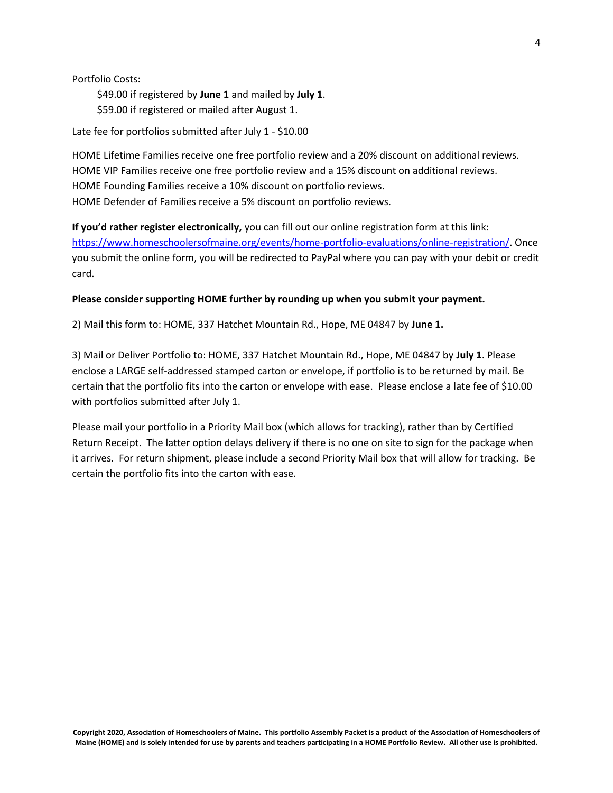Portfolio Costs:

 \$49.00 if registered by **June 1** and mailed by **July 1**. \$59.00 if registered or mailed after August 1.

Late fee for portfolios submitted after July 1 - \$10.00

HOME Lifetime Families receive one free portfolio review and a 20% discount on additional reviews. HOME VIP Families receive one free portfolio review and a 15% discount on additional reviews. HOME Founding Families receive a 10% discount on portfolio reviews. HOME Defender of Families receive a 5% discount on portfolio reviews.

**If you'd rather register electronically,** you can fill out our online registration form at this link: [https://www.homeschoolersofmaine.org/events/home-portfolio-evaluations/online-registration/.](https://www.homeschoolersofmaine.org/events/home-portfolio-evaluations/online-registration/) Once you submit the online form, you will be redirected to PayPal where you can pay with your debit or credit card.

### **Please consider supporting HOME further by rounding up when you submit your payment.**

2) Mail this form to: HOME, 337 Hatchet Mountain Rd., Hope, ME 04847 by **June 1.**

3) Mail or Deliver Portfolio to: HOME, 337 Hatchet Mountain Rd., Hope, ME 04847 by **July 1**. Please enclose a LARGE self-addressed stamped carton or envelope, if portfolio is to be returned by mail. Be certain that the portfolio fits into the carton or envelope with ease. Please enclose a late fee of \$10.00 with portfolios submitted after July 1.

Please mail your portfolio in a Priority Mail box (which allows for tracking), rather than by Certified Return Receipt. The latter option delays delivery if there is no one on site to sign for the package when it arrives. For return shipment, please include a second Priority Mail box that will allow for tracking. Be certain the portfolio fits into the carton with ease.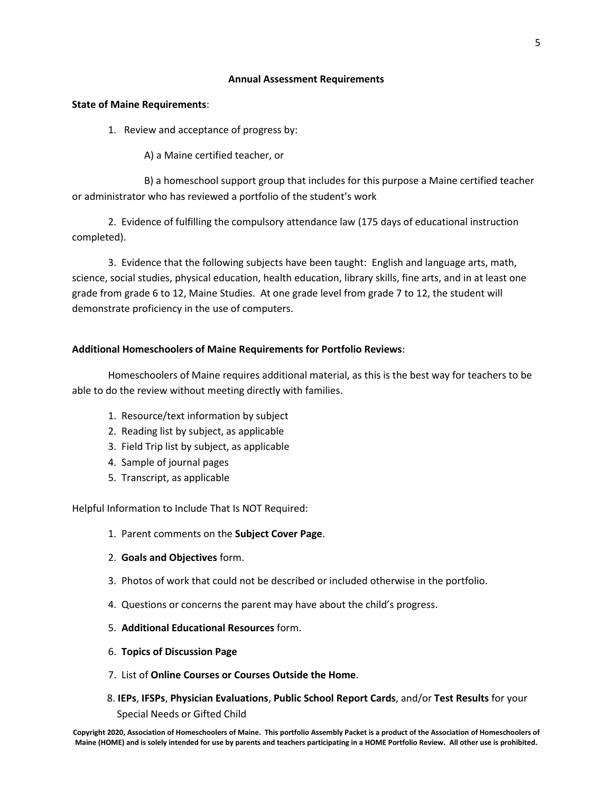# **Annual Assessment Requirements**

# **State of Maine Requirements**:

1. Review and acceptance of progress by:

A) a Maine certified teacher, or

B) a homeschool support group that includes for this purpose a Maine certified teacher or administrator who has reviewed a portfolio of the student's work

2. Evidence of fulfilling the compulsory attendance law (175 days of educational instruction completed).

3. Evidence that the following subjects have been taught: English and language arts, math, science, social studies, physical education, health education, library skills, fine arts, and in at least one grade from grade 6 to 12, Maine Studies. At one grade level from grade 7 to 12, the student will demonstrate proficiency in the use of computers.

# **Additional Homeschoolers of Maine Requirements for Portfolio Reviews**:

Homeschoolers of Maine requires additional material, as this is the best way for teachers to be able to do the review without meeting directly with families.

- 1. Resource/text information by subject
- 2. Reading list by subject, as applicable
- 3. Field Trip list by subject, as applicable
- 4. Sample of journal pages
- 5. Transcript, as applicable

Helpful Information to Include That Is NOT Required:

- 1. Parent comments on the **Subject Cover Page**.
- 2. **Goals and Objectives** form.
- 3. Photos of work that could not be described or included otherwise in the portfolio.
- 4. Questions or concerns the parent may have about the child's progress.
- 5. **Additional Educational Resources** form.
- 6. **Topics of Discussion Page**
- 7. List of **Online Courses or Courses Outside the Home**.
- 8. **IEPs**, **IFSPs**, **Physician Evaluations**, **Public School Report Cards**, and/or **Test Results** for your Special Needs or Gifted Child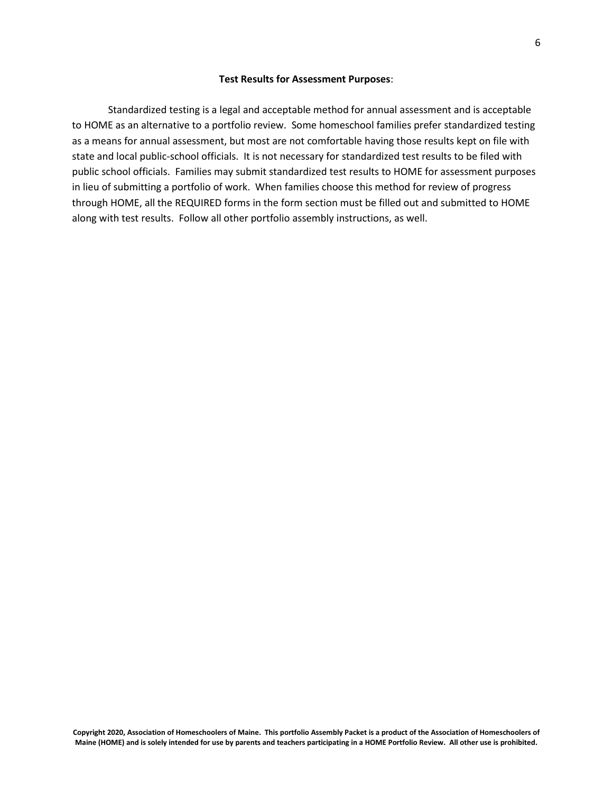#### **Test Results for Assessment Purposes**:

Standardized testing is a legal and acceptable method for annual assessment and is acceptable to HOME as an alternative to a portfolio review. Some homeschool families prefer standardized testing as a means for annual assessment, but most are not comfortable having those results kept on file with state and local public-school officials. It is not necessary for standardized test results to be filed with public school officials. Families may submit standardized test results to HOME for assessment purposes in lieu of submitting a portfolio of work. When families choose this method for review of progress through HOME, all the REQUIRED forms in the form section must be filled out and submitted to HOME along with test results. Follow all other portfolio assembly instructions, as well.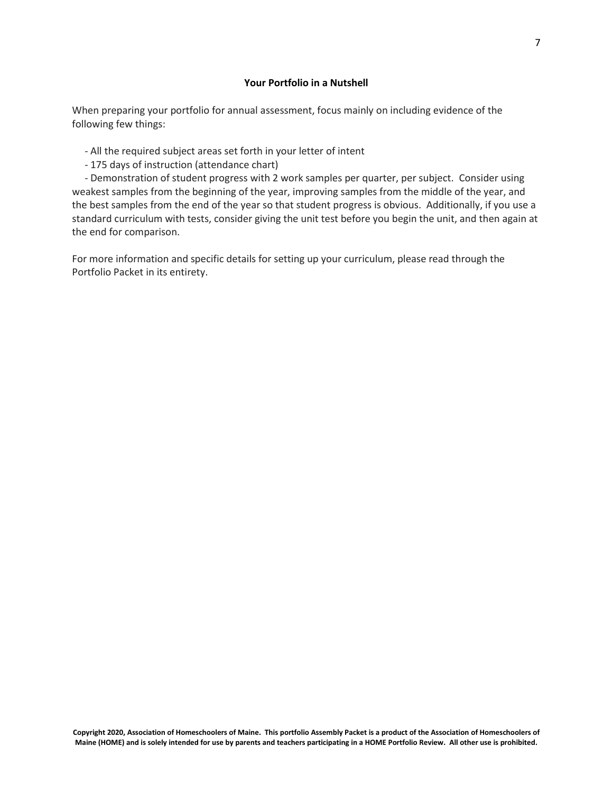# **Your Portfolio in a Nutshell**

When preparing your portfolio for annual assessment, focus mainly on including evidence of the following few things:

- All the required subject areas set forth in your letter of intent
- 175 days of instruction (attendance chart)

- Demonstration of student progress with 2 work samples per quarter, per subject. Consider using weakest samples from the beginning of the year, improving samples from the middle of the year, and the best samples from the end of the year so that student progress is obvious. Additionally, if you use a standard curriculum with tests, consider giving the unit test before you begin the unit, and then again at the end for comparison.

For more information and specific details for setting up your curriculum, please read through the Portfolio Packet in its entirety.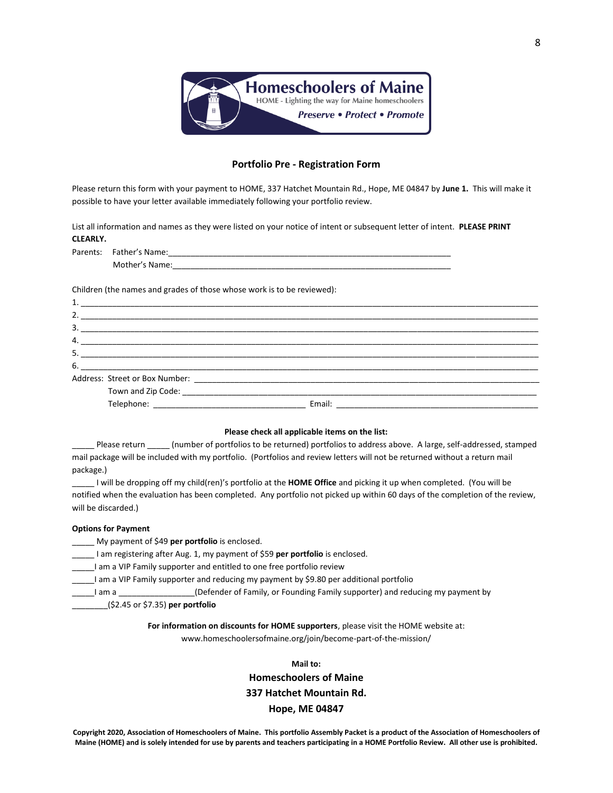

### **Portfolio Pre - Registration Form**

Please return this form with your payment to HOME, 337 Hatchet Mountain Rd., Hope, ME 04847 by **June 1.** This will make it possible to have your letter available immediately following your portfolio review.

List all information and names as they were listed on your notice of intent or subsequent letter of intent. **PLEASE PRINT CLEARLY.**

| Parents: | Father's Name: |  |  |
|----------|----------------|--|--|
|          | Mother's Name: |  |  |

Children (the names and grades of those whose work is to be reviewed):

|    | 2. |                               |
|----|----|-------------------------------|
| 3. |    |                               |
|    |    |                               |
|    |    |                               |
|    |    | $6.$ $\overline{\phantom{a}}$ |
|    |    |                               |
|    |    |                               |
|    |    |                               |
|    |    |                               |

#### **Please check all applicable items on the list:**

Please return \_\_\_\_\_ (number of portfolios to be returned) portfolios to address above. A large, self-addressed, stamped mail package will be included with my portfolio. (Portfolios and review letters will not be returned without a return mail package.)

\_\_\_\_\_ I will be dropping off my child(ren)'s portfolio at the **HOME Office** and picking it up when completed. (You will be notified when the evaluation has been completed. Any portfolio not picked up within 60 days of the completion of the review, will be discarded.)

#### **Options for Payment**

\_\_\_\_\_ My payment of \$49 **per portfolio** is enclosed.

- \_\_\_\_\_ I am registering after Aug. 1, my payment of \$59 **per portfolio** is enclosed.
- \_\_\_\_\_I am a VIP Family supporter and entitled to one free portfolio review
- I am a VIP Family supporter and reducing my payment by \$9.80 per additional portfolio

I am a Theorgian am a Lefender of Family, or Founding Family supporter) and reducing my payment by

\_\_\_\_\_\_\_\_(\$2.45 or \$7.35) **per portfolio**

#### **For information on discounts for HOME supporters**, please visit the HOME website at:

www.homeschoolersofmaine.org/join/become-part-of-the-mission/

# **Mail to: Homeschoolers of Maine 337 Hatchet Mountain Rd. Hope, ME 04847**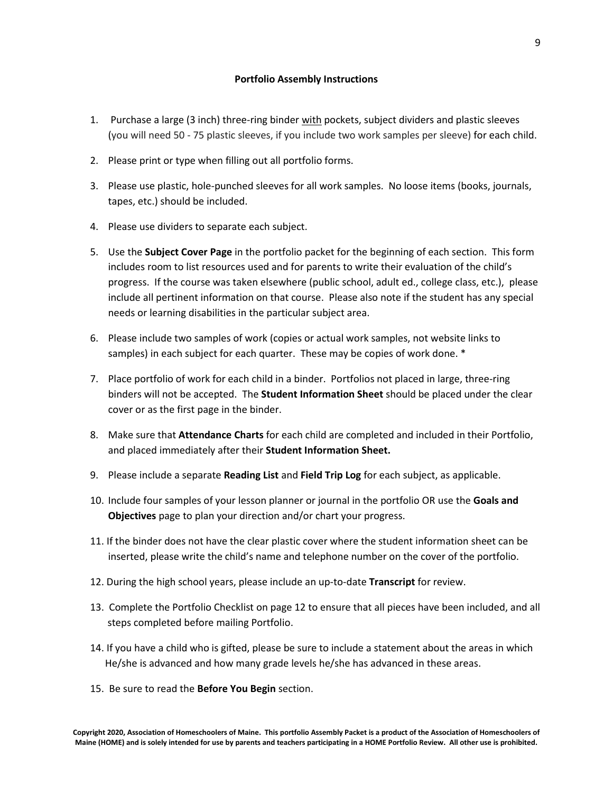- 1. Purchase a large (3 inch) three-ring binder with pockets, subject dividers and plastic sleeves (you will need 50 - 75 plastic sleeves, if you include two work samples per sleeve) for each child.
- 2. Please print or type when filling out all portfolio forms.
- 3. Please use plastic, hole-punched sleeves for all work samples. No loose items (books, journals, tapes, etc.) should be included.
- 4. Please use dividers to separate each subject.
- 5. Use the **Subject Cover Page** in the portfolio packet for the beginning of each section. This form includes room to list resources used and for parents to write their evaluation of the child's progress. If the course was taken elsewhere (public school, adult ed., college class, etc.), please include all pertinent information on that course. Please also note if the student has any special needs or learning disabilities in the particular subject area.
- 6. Please include two samples of work (copies or actual work samples, not website links to samples) in each subject for each quarter. These may be copies of work done. \*
- 7. Place portfolio of work for each child in a binder. Portfolios not placed in large, three-ring binders will not be accepted. The **Student Information Sheet** should be placed under the clear cover or as the first page in the binder.
- 8. Make sure that **Attendance Charts** for each child are completed and included in their Portfolio, and placed immediately after their **Student Information Sheet.**
- 9. Please include a separate **Reading List** and **Field Trip Log** for each subject, as applicable.
- 10. Include four samples of your lesson planner or journal in the portfolio OR use the **Goals and Objectives** page to plan your direction and/or chart your progress.
- 11. If the binder does not have the clear plastic cover where the student information sheet can be inserted, please write the child's name and telephone number on the cover of the portfolio.
- 12. During the high school years, please include an up-to-date **Transcript** for review.
- 13. Complete the Portfolio Checklist on page 12 to ensure that all pieces have been included, and all steps completed before mailing Portfolio.
- 14. If you have a child who is gifted, please be sure to include a statement about the areas in which He/she is advanced and how many grade levels he/she has advanced in these areas.
- 15. Be sure to read the **Before You Begin** section.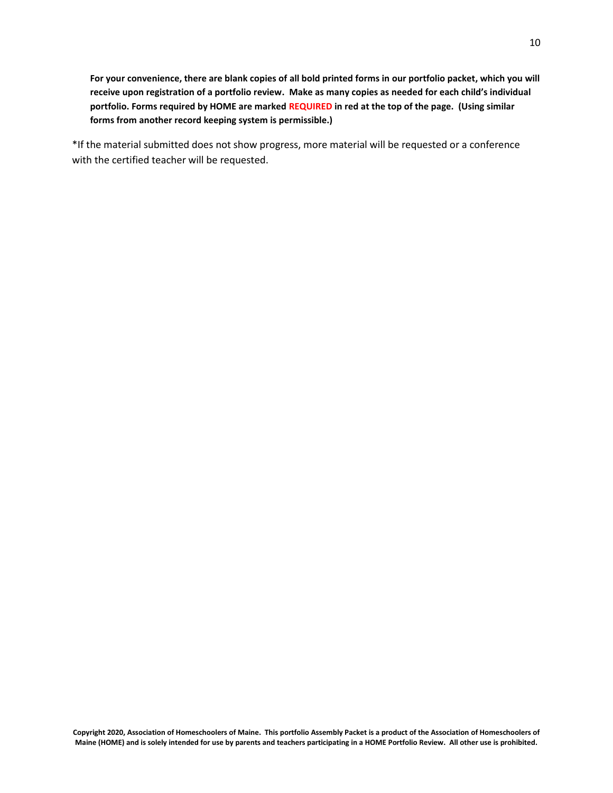**For your convenience, there are blank copies of all bold printed forms in our portfolio packet, which you will receive upon registration of a portfolio review. Make as many copies as needed for each child's individual portfolio. Forms required by HOME are marked REQUIRED in red at the top of the page. (Using similar forms from another record keeping system is permissible.)**

\*If the material submitted does not show progress, more material will be requested or a conference with the certified teacher will be requested.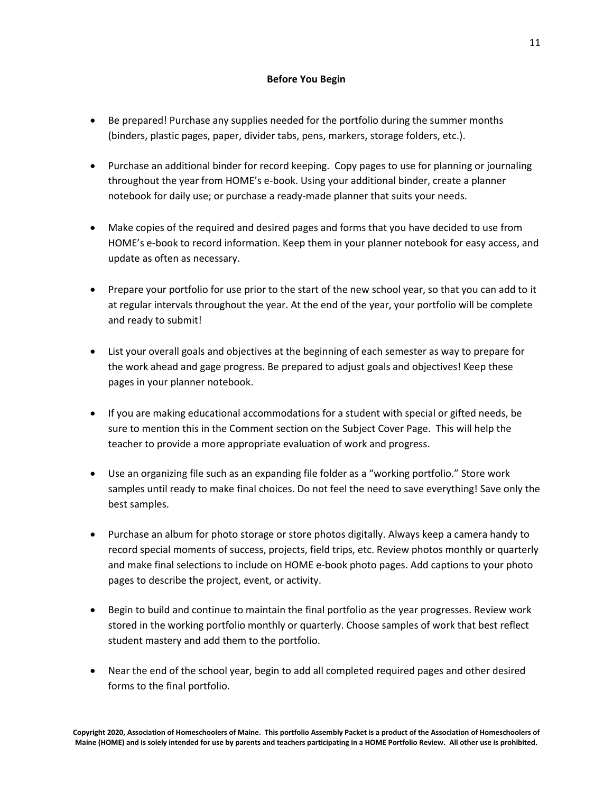# **Before You Begin**

- Be prepared! Purchase any supplies needed for the portfolio during the summer months (binders, plastic pages, paper, divider tabs, pens, markers, storage folders, etc.).
- Purchase an additional binder for record keeping. Copy pages to use for planning or journaling throughout the year from HOME's e-book. Using your additional binder, create a planner notebook for daily use; or purchase a ready-made planner that suits your needs.
- Make copies of the required and desired pages and forms that you have decided to use from HOME's e-book to record information. Keep them in your planner notebook for easy access, and update as often as necessary.
- Prepare your portfolio for use prior to the start of the new school year, so that you can add to it at regular intervals throughout the year. At the end of the year, your portfolio will be complete and ready to submit!
- List your overall goals and objectives at the beginning of each semester as way to prepare for the work ahead and gage progress. Be prepared to adjust goals and objectives! Keep these pages in your planner notebook.
- If you are making educational accommodations for a student with special or gifted needs, be sure to mention this in the Comment section on the Subject Cover Page. This will help the teacher to provide a more appropriate evaluation of work and progress.
- Use an organizing file such as an expanding file folder as a "working portfolio." Store work samples until ready to make final choices. Do not feel the need to save everything! Save only the best samples.
- Purchase an album for photo storage or store photos digitally. Always keep a camera handy to record special moments of success, projects, field trips, etc. Review photos monthly or quarterly and make final selections to include on HOME e-book photo pages. Add captions to your photo pages to describe the project, event, or activity.
- Begin to build and continue to maintain the final portfolio as the year progresses. Review work stored in the working portfolio monthly or quarterly. Choose samples of work that best reflect student mastery and add them to the portfolio.
- Near the end of the school year, begin to add all completed required pages and other desired forms to the final portfolio.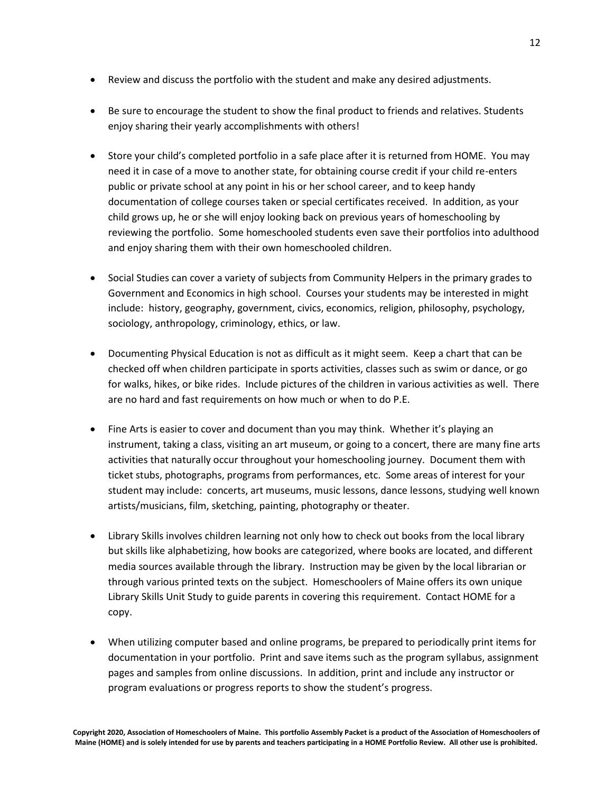- Review and discuss the portfolio with the student and make any desired adjustments.
- Be sure to encourage the student to show the final product to friends and relatives. Students enjoy sharing their yearly accomplishments with others!
- Store your child's completed portfolio in a safe place after it is returned from HOME. You may need it in case of a move to another state, for obtaining course credit if your child re-enters public or private school at any point in his or her school career, and to keep handy documentation of college courses taken or special certificates received. In addition, as your child grows up, he or she will enjoy looking back on previous years of homeschooling by reviewing the portfolio. Some homeschooled students even save their portfolios into adulthood and enjoy sharing them with their own homeschooled children.
- Social Studies can cover a variety of subjects from Community Helpers in the primary grades to Government and Economics in high school. Courses your students may be interested in might include: history, geography, government, civics, economics, religion, philosophy, psychology, sociology, anthropology, criminology, ethics, or law.
- Documenting Physical Education is not as difficult as it might seem. Keep a chart that can be checked off when children participate in sports activities, classes such as swim or dance, or go for walks, hikes, or bike rides. Include pictures of the children in various activities as well. There are no hard and fast requirements on how much or when to do P.E.
- Fine Arts is easier to cover and document than you may think. Whether it's playing an instrument, taking a class, visiting an art museum, or going to a concert, there are many fine arts activities that naturally occur throughout your homeschooling journey. Document them with ticket stubs, photographs, programs from performances, etc. Some areas of interest for your student may include: concerts, art museums, music lessons, dance lessons, studying well known artists/musicians, film, sketching, painting, photography or theater.
- Library Skills involves children learning not only how to check out books from the local library but skills like alphabetizing, how books are categorized, where books are located, and different media sources available through the library. Instruction may be given by the local librarian or through various printed texts on the subject. Homeschoolers of Maine offers its own unique Library Skills Unit Study to guide parents in covering this requirement. Contact HOME for a copy.
- When utilizing computer based and online programs, be prepared to periodically print items for documentation in your portfolio. Print and save items such as the program syllabus, assignment pages and samples from online discussions. In addition, print and include any instructor or program evaluations or progress reports to show the student's progress.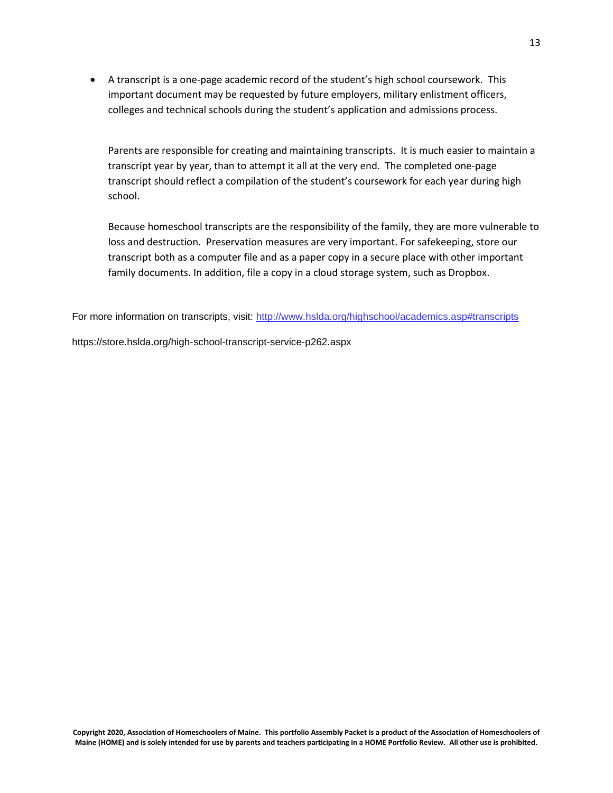• A transcript is a one-page academic record of the student's high school coursework. This important document may be requested by future employers, military enlistment officers, colleges and technical schools during the student's application and admissions process.

Parents are responsible for creating and maintaining transcripts. It is much easier to maintain a transcript year by year, than to attempt it all at the very end. The completed one-page transcript should reflect a compilation of the student's coursework for each year during high school.

Because homeschool transcripts are the responsibility of the family, they are more vulnerable to loss and destruction. Preservation measures are very important. For safekeeping, store our transcript both as a computer file and as a paper copy in a secure place with other important family documents. In addition, file a copy in a cloud storage system, such as Dropbox.

For more information on transcripts, visit: <http://www.hslda.org/highschool/academics.asp#transcripts>

https://store.hslda.org/high-school-transcript-service-p262.aspx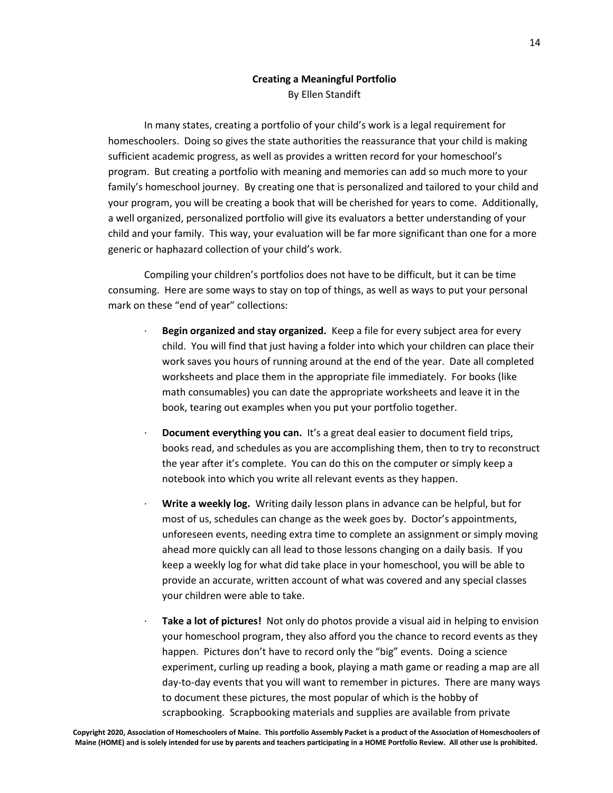# **Creating a Meaningful Portfolio** By Ellen Standift

In many states, creating a portfolio of your child's work is a legal requirement for homeschoolers. Doing so gives the state authorities the reassurance that your child is making sufficient academic progress, as well as provides a written record for your homeschool's program. But creating a portfolio with meaning and memories can add so much more to your family's homeschool journey. By creating one that is personalized and tailored to your child and your program, you will be creating a book that will be cherished for years to come. Additionally, a well organized, personalized portfolio will give its evaluators a better understanding of your child and your family. This way, your evaluation will be far more significant than one for a more generic or haphazard collection of your child's work.

Compiling your children's portfolios does not have to be difficult, but it can be time consuming. Here are some ways to stay on top of things, as well as ways to put your personal mark on these "end of year" collections:

- · **Begin organized and stay organized.** Keep a file for every subject area for every child. You will find that just having a folder into which your children can place their work saves you hours of running around at the end of the year. Date all completed worksheets and place them in the appropriate file immediately. For books (like math consumables) you can date the appropriate worksheets and leave it in the book, tearing out examples when you put your portfolio together.
- · **Document everything you can.** It's a great deal easier to document field trips, books read, and schedules as you are accomplishing them, then to try to reconstruct the year after it's complete. You can do this on the computer or simply keep a notebook into which you write all relevant events as they happen.
- · **Write a weekly log.** Writing daily lesson plans in advance can be helpful, but for most of us, schedules can change as the week goes by. Doctor's appointments, unforeseen events, needing extra time to complete an assignment or simply moving ahead more quickly can all lead to those lessons changing on a daily basis. If you keep a weekly log for what did take place in your homeschool, you will be able to provide an accurate, written account of what was covered and any special classes your children were able to take.
- Take a lot of pictures! Not only do photos provide a visual aid in helping to envision your homeschool program, they also afford you the chance to record events as they happen. Pictures don't have to record only the "big" events. Doing a science experiment, curling up reading a book, playing a math game or reading a map are all day-to-day events that you will want to remember in pictures. There are many ways to document these pictures, the most popular of which is the hobby of scrapbooking. Scrapbooking materials and supplies are available from private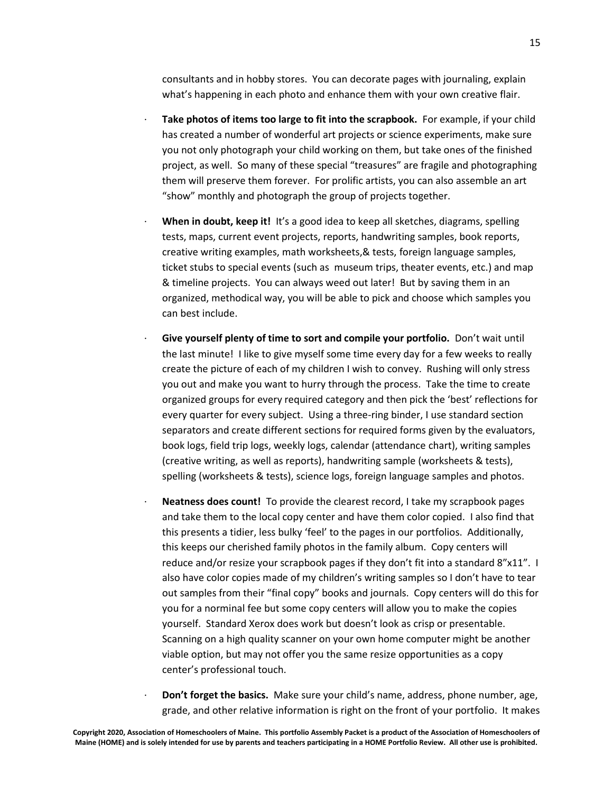consultants and in hobby stores. You can decorate pages with journaling, explain what's happening in each photo and enhance them with your own creative flair.

- Take photos of items too large to fit into the scrapbook. For example, if your child has created a number of wonderful art projects or science experiments, make sure you not only photograph your child working on them, but take ones of the finished project, as well. So many of these special "treasures" are fragile and photographing them will preserve them forever. For prolific artists, you can also assemble an art "show" monthly and photograph the group of projects together.
- · **When in doubt, keep it!** It's a good idea to keep all sketches, diagrams, spelling tests, maps, current event projects, reports, handwriting samples, book reports, creative writing examples, math worksheets,& tests, foreign language samples, ticket stubs to special events (such as museum trips, theater events, etc.) and map & timeline projects. You can always weed out later! But by saving them in an organized, methodical way, you will be able to pick and choose which samples you can best include.
- · **Give yourself plenty of time to sort and compile your portfolio.** Don't wait until the last minute! I like to give myself some time every day for a few weeks to really create the picture of each of my children I wish to convey. Rushing will only stress you out and make you want to hurry through the process. Take the time to create organized groups for every required category and then pick the 'best' reflections for every quarter for every subject.Using a three-ring binder, I use standard section separators and create different sections for required forms given by the evaluators, book logs, field trip logs, weekly logs, calendar (attendance chart), writing samples (creative writing, as well as reports), handwriting sample (worksheets & tests), spelling (worksheets & tests), science logs, foreign language samples and photos.
- · **Neatness does count!** To provide the clearest record, I take my scrapbook pages and take them to the local copy center and have them color copied. I also find that this presents a tidier, less bulky 'feel' to the pages in our portfolios. Additionally, this keeps our cherished family photos in the family album. Copy centers will reduce and/or resize your scrapbook pages if they don't fit into a standard 8"x11". I also have color copies made of my children's writing samples so I don't have to tear out samples from their "final copy" books and journals. Copy centers will do this for you for a norminal fee but some copy centers will allow you to make the copies yourself. Standard Xerox does work but doesn't look as crisp or presentable. Scanning on a high quality scanner on your own home computer might be another viable option, but may not offer you the same resize opportunities as a copy center's professional touch.
	- · **Don't forget the basics.** Make sure your child's name, address, phone number, age, grade, and other relative information is right on the front of your portfolio. It makes